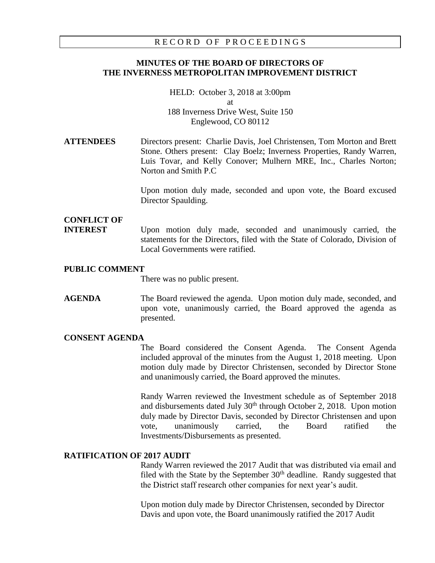## RECORD OF PROCEEDINGS

## **MINUTES OF THE BOARD OF DIRECTORS OF THE INVERNESS METROPOLITAN IMPROVEMENT DISTRICT**

HELD: October 3, 2018 at 3:00pm at 188 Inverness Drive West, Suite 150 Englewood, CO 80112

# **ATTENDEES** Directors present: Charlie Davis, Joel Christensen, Tom Morton and Brett Stone. Others present: Clay Boelz; Inverness Properties, Randy Warren, Luis Tovar, and Kelly Conover; Mulhern MRE, Inc., Charles Norton; Norton and Smith P.C

Upon motion duly made, seconded and upon vote, the Board excused Director Spaulding.

# **CONFLICT OF**

**INTEREST** Upon motion duly made, seconded and unanimously carried, the statements for the Directors, filed with the State of Colorado, Division of Local Governments were ratified.

## **PUBLIC COMMENT**

There was no public present.

**AGENDA** The Board reviewed the agenda. Upon motion duly made, seconded, and upon vote, unanimously carried, the Board approved the agenda as presented.

## **CONSENT AGENDA**

The Board considered the Consent Agenda. The Consent Agenda included approval of the minutes from the August 1, 2018 meeting. Upon motion duly made by Director Christensen, seconded by Director Stone and unanimously carried, the Board approved the minutes.

Randy Warren reviewed the Investment schedule as of September 2018 and disbursements dated July  $30<sup>th</sup>$  through October 2, 2018. Upon motion duly made by Director Davis, seconded by Director Christensen and upon vote, unanimously carried, the Board ratified the Investments/Disbursements as presented.

# **RATIFICATION OF 2017 AUDIT**

Randy Warren reviewed the 2017 Audit that was distributed via email and filed with the State by the September  $30<sup>th</sup>$  deadline. Randy suggested that the District staff research other companies for next year's audit.

Upon motion duly made by Director Christensen, seconded by Director Davis and upon vote, the Board unanimously ratified the 2017 Audit